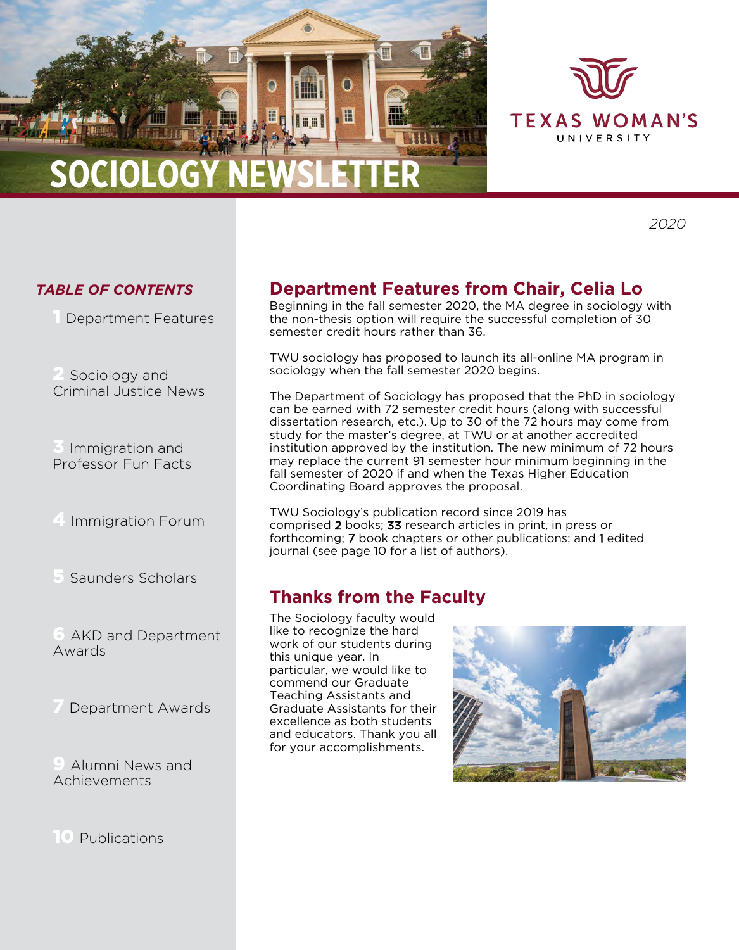



*2020*

#### *TABLE OF CONTENTS*

Department Features

Sociology and Criminal Justice News

Immigration and Professor Fun Facts

4 Immigration Forum

5 Saunders Scholars

AKD and Department Awards

Department Awards

Alumni News and Achievements

10 Publications

# **Department Features from Chair, Celia Lo**

Beginning in the fall semester 2020, the MA degree in sociology with the non-thesis option will require the successful completion of 30 semester credit hours rather than 36.

TWU sociology has proposed to launch its all-online MA program in sociology when the fall semester 2020 begins.

The Department of Sociology has proposed that the PhD in sociology can be earned with 72 semester credit hours (along with successful dissertation research, etc.). Up to 30 of the 72 hours may come from study for the master's degree, at TWU or at another accredited institution approved by the institution. The new minimum of 72 hours may replace the current 91 semester hour minimum beginning in the fall semester of 2020 if and when the Texas Higher Education Coordinating Board approves the proposal.

TWU Sociology's publication record since 2019 has comprised 2 books; 33 research articles in print, in press or forthcoming; 7 book chapters or other publications; and 1 edited journal (see page 10 for a list of authors).

## **Thanks from the Faculty**

The Sociology faculty would like to recognize the hard work of our students during this unique year. In particular, we would like to commend our Graduate Teaching Assistants and Graduate Assistants for their excellence as both students and educators. Thank you all for your accomplishments.

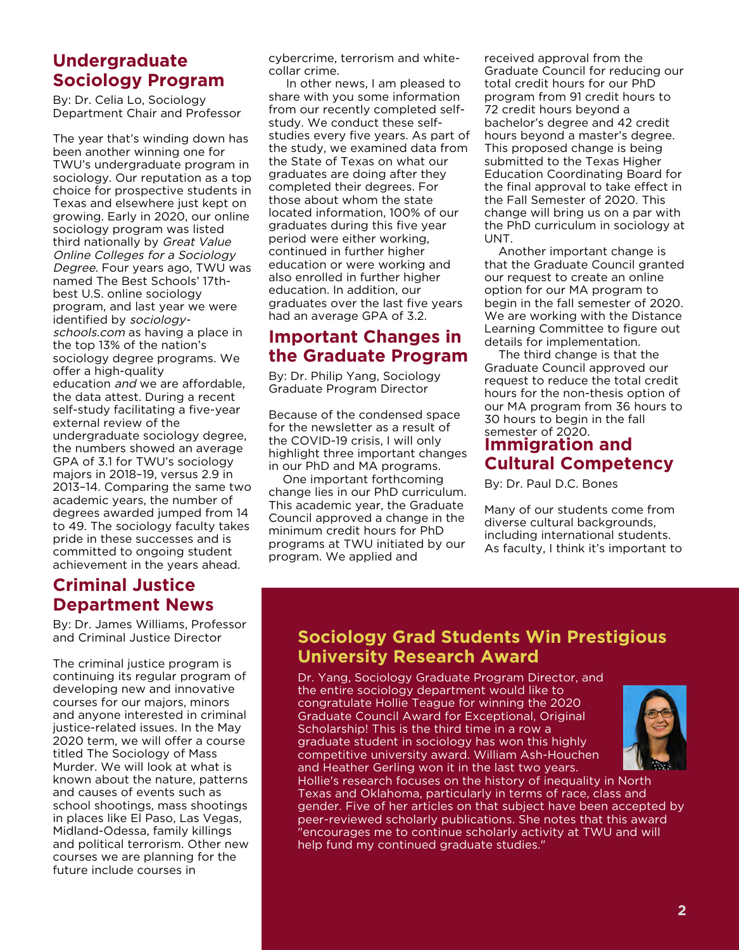#### **Undergraduate Sociology Program**

By: Dr. Celia Lo, Sociology Department Chair and Professor

The year that's winding down has been another winning one for TWU's undergraduate program in sociology. Our reputation as a top choice for prospective students in Texas and elsewhere just kept on growing. Early in 2020, our online sociology program was listed third nationally by Great Value Online Colleges for a Sociology Degree. Four years ago, TWU was named The Best Schools' 17thbest U.S. online sociology program, and last year we were identified by sociologyschools.com as having a place in the top 13% of the nation's sociology degree programs. We offer a high-quality education and we are affordable, the data attest. During a recent self-study facilitating a five-year external review of the undergraduate sociology degree, the numbers showed an average GPA of 3.1 for TWU's sociology majors in 2018–19, versus 2.9 in 2013–14. Comparing the same two academic years, the number of degrees awarded jumped from 14 to 49. The sociology faculty takes pride in these successes and is committed to ongoing student achievement in the years ahead.

#### **Criminal Justice Department News**

By: Dr. James Williams, Professor and Criminal Justice Director

The criminal justice program is continuing its regular program of developing new and innovative courses for our majors, minors and anyone interested in criminal justice-related issues. In the May 2020 term, we will offer a course titled The Sociology of Mass Murder. We will look at what is known about the nature, patterns and causes of events such as school shootings, mass shootings in places like El Paso, Las Vegas, Midland-Odessa, family killings and political terrorism. Other new courses we are planning for the future include courses in

cybercrime, terrorism and whitecollar crime.

 In other news, I am pleased to share with you some information from our recently completed selfstudy. We conduct these selfstudies every five years. As part of the study, we examined data from the State of Texas on what our graduates are doing after they completed their degrees. For those about whom the state located information, 100% of our graduates during this five year period were either working, continued in further higher education or were working and also enrolled in further higher education. In addition, our graduates over the last five years had an average GPA of 3.2.

#### **Important Changes in the Graduate Program**

By: Dr. Philip Yang, Sociology Graduate Program Director

Because of the condensed space for the newsletter as a result of the COVID-19 crisis, I will only highlight three important changes in our PhD and MA programs.

 One important forthcoming change lies in our PhD curriculum. This academic year, the Graduate Council approved a change in the minimum credit hours for PhD programs at TWU initiated by our program. We applied and

received approval from the Graduate Council for reducing our total credit hours for our PhD program from 91 credit hours to 72 credit hours beyond a bachelor's degree and 42 credit hours beyond a master's degree. This proposed change is being submitted to the Texas Higher Education Coordinating Board for the final approval to take effect in the Fall Semester of 2020. This change will bring us on a par with the PhD curriculum in sociology at UNT.

 Another important change is that the Graduate Council granted our request to create an online option for our MA program to begin in the fall semester of 2020. We are working with the Distance Learning Committee to figure out details for implementation.

 The third change is that the Graduate Council approved our request to reduce the total credit hours for the non-thesis option of our MA program from 36 hours to 30 hours to begin in the fall semester of 2020.

#### **Immigration and Cultural Competency**

By: Dr. Paul D.C. Bones

Many of our students come from diverse cultural backgrounds, including international students. As faculty, I think it's important to

#### **Sociology Grad Students Win Prestigious University Research Award**

Dr. Yang, Sociology Graduate Program Director, and the entire sociology department would like to congratulate Hollie Teague for winning the 2020 Graduate Council Award for Exceptional, Original Scholarship! This is the third time in a row a graduate student in sociology has won this highly competitive university award. William Ash-Houchen and Heather Gerling won it in the last two years.



Hollie's research focuses on the history of inequality in North Texas and Oklahoma, particularly in terms of race, class and gender. Five of her articles on that subject have been accepted by peer-reviewed scholarly publications. She notes that this award "encourages me to continue scholarly activity at TWU and will help fund my continued graduate studies."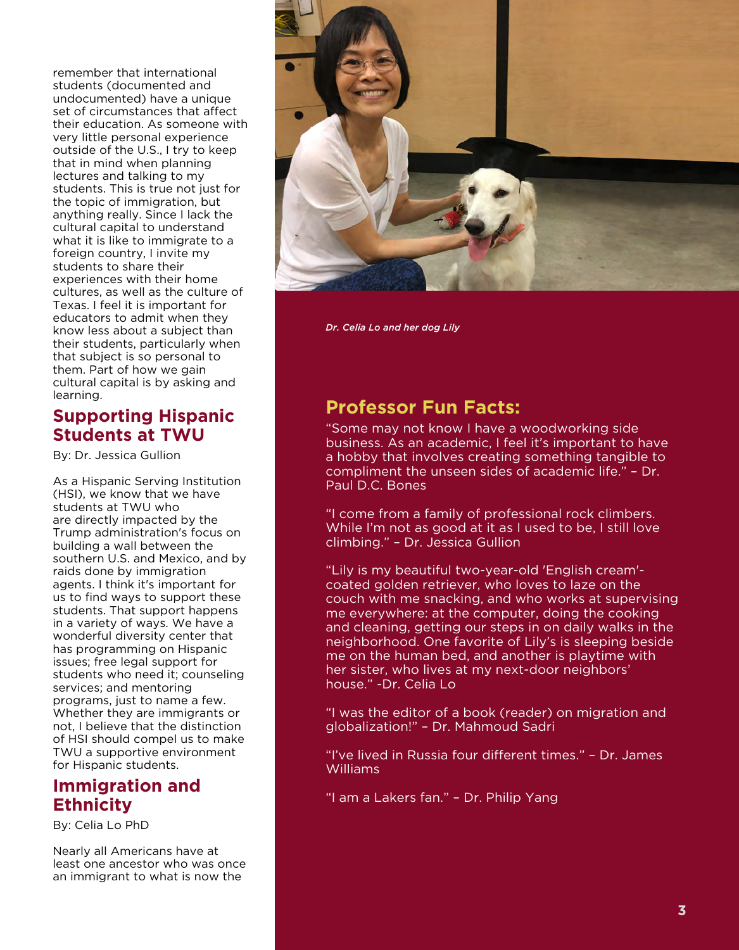remember that international students (documented and undocumented) have a unique set of circumstances that affect their education. As someone with very little personal experience outside of the U.S., I try to keep that in mind when planning lectures and talking to my students. This is true not just for the topic of immigration, but anything really. Since I lack the cultural capital to understand what it is like to immigrate to a foreign country, I invite my students to share their experiences with their home cultures, as well as the culture of Texas. I feel it is important for educators to admit when they know less about a subject than their students, particularly when that subject is so personal to them. Part of how we gain cultural capital is by asking and learning.

#### **Supporting Hispanic Students at TWU**

By: Dr. Jessica Gullion

As a Hispanic Serving Institution (HSI), we know that we have students at TWU who are directly impacted by the Trump administration's focus on building a wall between the southern U.S. and Mexico, and by raids done by immigration agents. I think it's important for us to find ways to support these students. That support happens in a variety of ways. We have a wonderful diversity center that has programming on Hispanic issues; free legal support for students who need it; counseling services; and mentoring programs, just to name a few. Whether they are immigrants or not, I believe that the distinction of HSI should compel us to make TWU a supportive environment for Hispanic students.

#### **Immigration and Ethnicity**

By: Celia Lo PhD

Nearly all Americans have at least one ancestor who was once an immigrant to what is now the



*Dr. Celia Lo and her dog Lily*

## **Professor Fun Facts:**

"Some may not know I have a woodworking side business. As an academic, I feel it's important to have a hobby that involves creating something tangible to compliment the unseen sides of academic life." – Dr. Paul D.C. Bones

"I come from a family of professional rock climbers. While I'm not as good at it as I used to be, I still love climbing." – Dr. Jessica Gullion

"Lily is my beautiful two-year-old 'English cream' coated golden retriever, who loves to laze on the couch with me snacking, and who works at supervising me everywhere: at the computer, doing the cooking and cleaning, getting our steps in on daily walks in the neighborhood. One favorite of Lily's is sleeping beside me on the human bed, and another is playtime with her sister, who lives at my next-door neighbors' house." -Dr. Celia Lo

"I was the editor of a book (reader) on migration and globalization!" – Dr. Mahmoud Sadri

"I've lived in Russia four different times." – Dr. James Williams

"I am a Lakers fan." – Dr. Philip Yang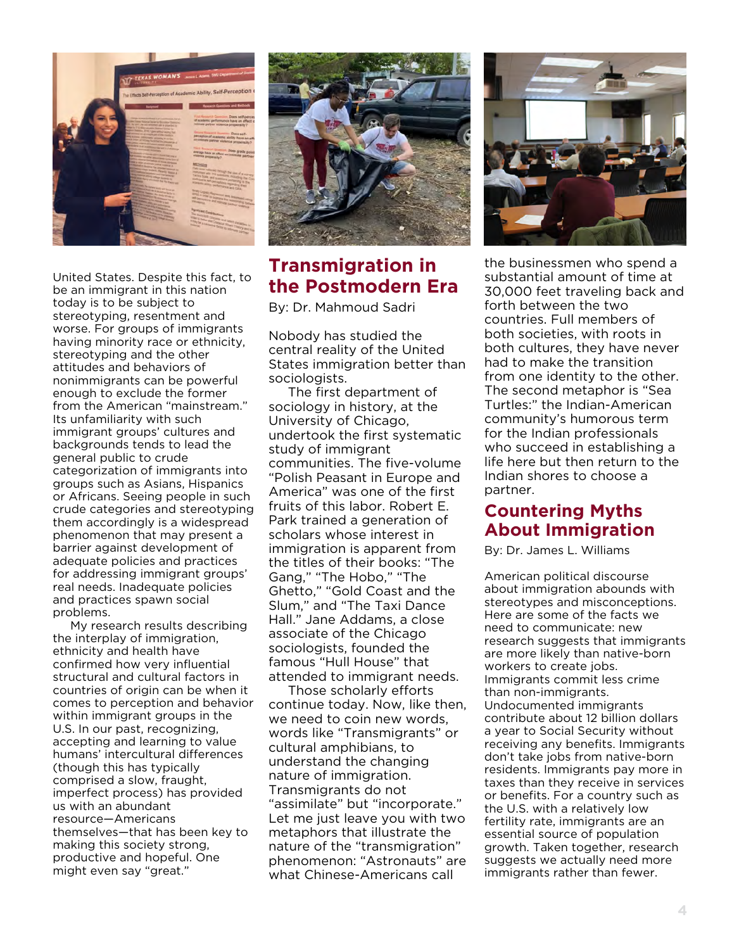

United States. Despite this fact, to be an immigrant in this nation today is to be subject to stereotyping, resentment and worse. For groups of immigrants having minority race or ethnicity, stereotyping and the other attitudes and behaviors of nonimmigrants can be powerful enough to exclude the former from the American "mainstream." Its unfamiliarity with such immigrant groups' cultures and backgrounds tends to lead the general public to crude categorization of immigrants into groups such as Asians, Hispanics or Africans. Seeing people in such crude categories and stereotyping them accordingly is a widespread phenomenon that may present a barrier against development of adequate policies and practices for addressing immigrant groups' real needs. Inadequate policies and practices spawn social problems.

 My research results describing the interplay of immigration, ethnicity and health have confirmed how very influential structural and cultural factors in countries of origin can be when it comes to perception and behavior within immigrant groups in the U.S. In our past, recognizing, accepting and learning to value humans' intercultural differences (though this has typically comprised a slow, fraught, imperfect process) has provided us with an abundant resource—Americans themselves—that has been key to making this society strong, productive and hopeful. One might even say "great."



## **Transmigration in the Postmodern Era**

By: Dr. Mahmoud Sadri

Nobody has studied the central reality of the United States immigration better than sociologists.

 The first department of sociology in history, at the University of Chicago, undertook the first systematic study of immigrant communities. The five-volume "Polish Peasant in Europe and America" was one of the first fruits of this labor. Robert E. Park trained a generation of scholars whose interest in immigration is apparent from the titles of their books: "The Gang," "The Hobo," "The Ghetto," "Gold Coast and the Slum," and "The Taxi Dance Hall." Jane Addams, a close associate of the Chicago sociologists, founded the famous "Hull House" that attended to immigrant needs.

 Those scholarly efforts continue today. Now, like then, we need to coin new words, words like "Transmigrants" or cultural amphibians, to understand the changing nature of immigration. Transmigrants do not "assimilate" but "incorporate." Let me just leave you with two metaphors that illustrate the nature of the "transmigration" phenomenon: "Astronauts" are what Chinese-Americans call



the businessmen who spend a substantial amount of time at 30,000 feet traveling back and forth between the two countries. Full members of both societies, with roots in both cultures, they have never had to make the transition from one identity to the other. The second metaphor is "Sea Turtles:" the Indian-American community's humorous term for the Indian professionals who succeed in establishing a life here but then return to the Indian shores to choose a partner.

#### **Countering Myths About Immigration**

By: Dr. James L. Williams

American political discourse about immigration abounds with stereotypes and misconceptions. Here are some of the facts we need to communicate: new research suggests that immigrants are more likely than native-born workers to create jobs. Immigrants commit less crime than non-immigrants. Undocumented immigrants contribute about 12 billion dollars a year to Social Security without receiving any benefits. Immigrants don't take jobs from native-born residents. Immigrants pay more in taxes than they receive in services or benefits. For a country such as the U.S. with a relatively low fertility rate, immigrants are an essential source of population growth. Taken together, research suggests we actually need more immigrants rather than fewer.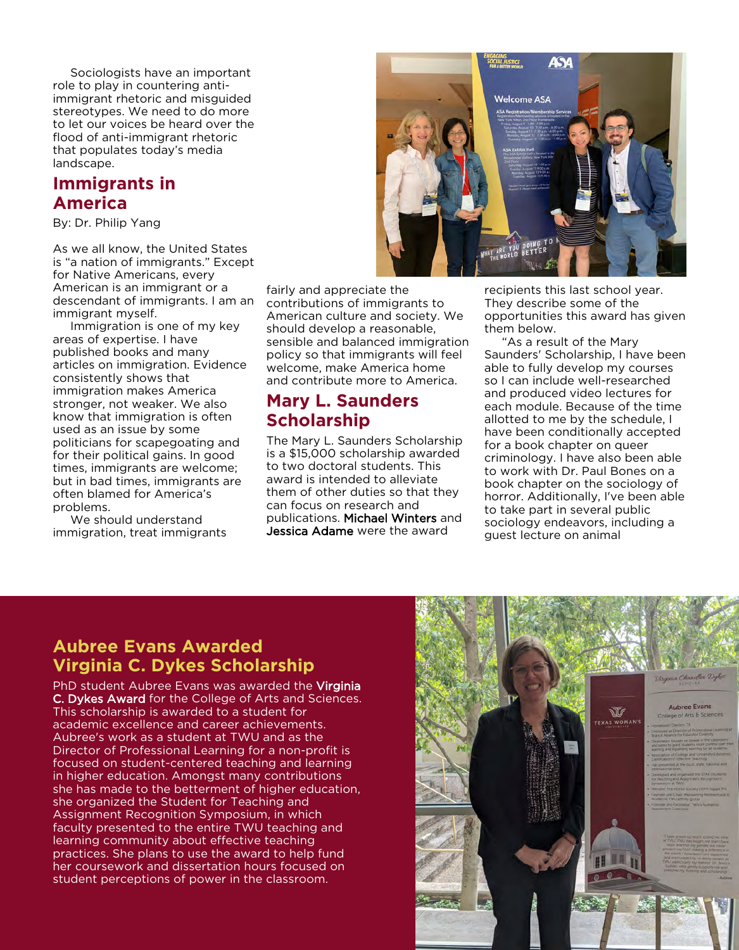Sociologists have an important role to play in countering antiimmigrant rhetoric and misguided stereotypes. We need to do more to let our voices be heard over the flood of anti-immigrant rhetoric that populates today's media landscape.

#### **Immigrants in America**

By: Dr. Philip Yang

As we all know, the United States is "a nation of immigrants." Except for Native Americans, every American is an immigrant or a descendant of immigrants. I am an immigrant myself.

 Immigration is one of my key areas of expertise. I have published books and many articles on immigration. Evidence consistently shows that immigration makes America stronger, not weaker. We also know that immigration is often used as an issue by some politicians for scapegoating and for their political gains. In good times, immigrants are welcome; but in bad times, immigrants are often blamed for America's problems.

 We should understand immigration, treat immigrants fairly and appreciate the contributions of immigrants to American culture and society. We should develop a reasonable, sensible and balanced immigration policy so that immigrants will feel welcome, make America home and contribute more to America.

#### **Mary L. Saunders Scholarship**

The Mary L. Saunders Scholarship is a \$15,000 scholarship awarded to two doctoral students. This award is intended to alleviate them of other duties so that they can focus on research and publications. Michael Winters and Jessica Adame were the award



recipients this last school year. They describe some of the opportunities this award has given them below.

 "As a result of the Mary Saunders' Scholarship, I have been able to fully develop my courses so I can include well-researched and produced video lectures for each module. Because of the time allotted to me by the schedule, I have been conditionally accepted for a book chapter on queer criminology. I have also been able to work with Dr. Paul Bones on a book chapter on the sociology of horror. Additionally, I've been able to take part in several public sociology endeavors, including a guest lecture on animal

#### **Aubree Evans Awarded Virginia C. Dykes Scholarship**

PhD student Aubree Evans was awarded the Virginia C. Dykes Award for the College of Arts and Sciences. This scholarship is awarded to a student for academic excellence and career achievements. Aubree's work as a student at TWU and as the Director of Professional Learning for a non-profit is focused on student-centered teaching and learning in higher education. Amongst many contributions she has made to the betterment of higher education, she organized the Student for Teaching and Assignment Recognition Symposium, in which faculty presented to the entire TWU teaching and learning community about effective teaching practices. She plans to use the award to help fund her coursework and dissertation hours focused on student perceptions of power in the classroom.

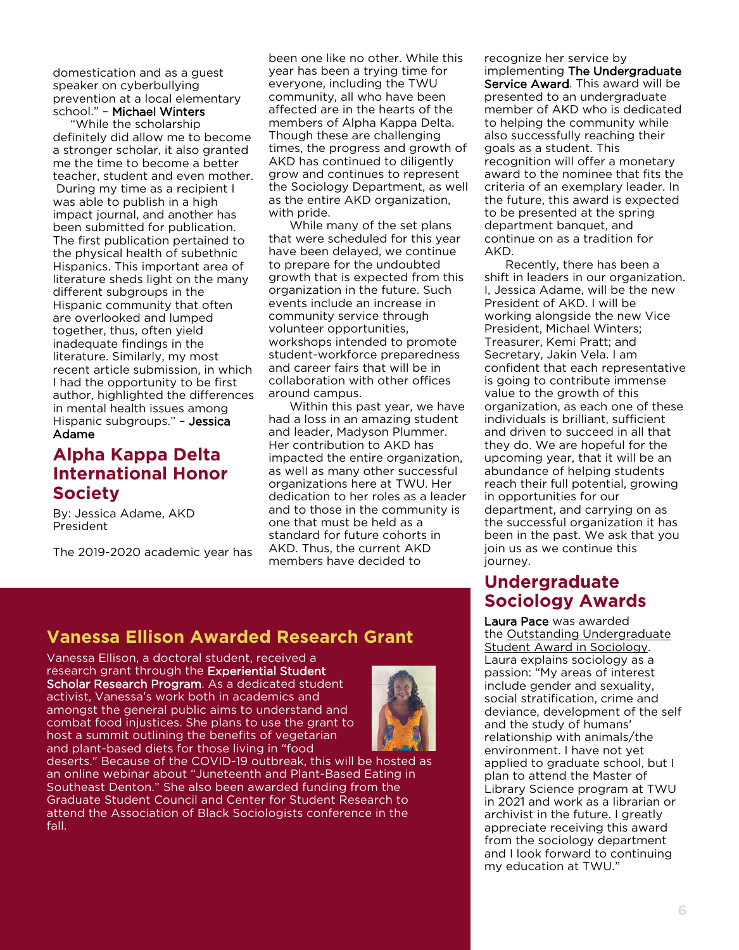domestication and as a guest speaker on cyberbullying prevention at a local elementary school." – Michael Winters

 "While the scholarship definitely did allow me to become a stronger scholar, it also granted me the time to become a better teacher, student and even mother. During my time as a recipient I was able to publish in a high impact journal, and another has been submitted for publication. The first publication pertained to the physical health of subethnic Hispanics. This important area of literature sheds light on the many different subgroups in the Hispanic community that often are overlooked and lumped together, thus, often yield inadequate findings in the literature. Similarly, my most recent article submission, in which I had the opportunity to be first author, highlighted the differences in mental health issues among Hispanic subgroups." – Jessica Adame

#### **Alpha Kappa Delta International Honor Society**

By: Jessica Adame, AKD President

The 2019-2020 academic year has

been one like no other. While this year has been a trying time for everyone, including the TWU community, all who have been affected are in the hearts of the members of Alpha Kappa Delta. Though these are challenging times, the progress and growth of AKD has continued to diligently grow and continues to represent the Sociology Department, as well as the entire AKD organization, with pride.

 While many of the set plans that were scheduled for this year have been delayed, we continue to prepare for the undoubted growth that is expected from this organization in the future. Such events include an increase in community service through volunteer opportunities, workshops intended to promote student-workforce preparedness and career fairs that will be in collaboration with other offices around campus.

 Within this past year, we have had a loss in an amazing student and leader, Madyson Plummer. Her contribution to AKD has impacted the entire organization, as well as many other successful organizations here at TWU. Her dedication to her roles as a leader and to those in the community is one that must be held as a standard for future cohorts in AKD. Thus, the current AKD members have decided to

recognize her service by implementing The Undergraduate Service Award. This award will be presented to an undergraduate member of AKD who is dedicated to helping the community while also successfully reaching their goals as a student. This recognition will offer a monetary award to the nominee that fits the criteria of an exemplary leader. In the future, this award is expected to be presented at the spring department banquet, and continue on as a tradition for AKD.

 Recently, there has been a shift in leaders in our organization. I, Jessica Adame, will be the new President of AKD. I will be working alongside the new Vice President, Michael Winters; Treasurer, Kemi Pratt; and Secretary, Jakin Vela. I am confident that each representative is going to contribute immense value to the growth of this organization, as each one of these individuals is brilliant, sufficient and driven to succeed in all that they do. We are hopeful for the upcoming year, that it will be an abundance of helping students reach their full potential, growing in opportunities for our department, and carrying on as the successful organization it has been in the past. We ask that you join us as we continue this journey.

#### **Undergraduate Sociology Awards**

Laura Pace was awarded the Outstanding Undergraduate Student Award in Sociology. Laura explains sociology as a passion: "My areas of interest include gender and sexuality, social stratification, crime and deviance, development of the self and the study of humans' relationship with animals/the environment. I have not yet applied to graduate school, but I plan to attend the Master of Library Science program at TWU in 2021 and work as a librarian or archivist in the future. I greatly appreciate receiving this award from the sociology department and I look forward to continuing my education at TWU."

## **Vanessa Ellison Awarded Research Grant**

Vanessa Ellison, a doctoral student, received a research grant through the Experiential Student Scholar Research Program. As a dedicated student activist, Vanessa's work both in academics and amongst the general public aims to understand and combat food injustices. She plans to use the grant to host a summit outlining the benefits of vegetarian and plant-based diets for those living in "food

deserts." Because of the COVID-19 outbreak, this will be hosted as an online webinar about "Juneteenth and Plant-Based Eating in Southeast Denton." She also been awarded funding from the Graduate Student Council and Center for Student Research to attend the Association of Black Sociologists conference in the fall.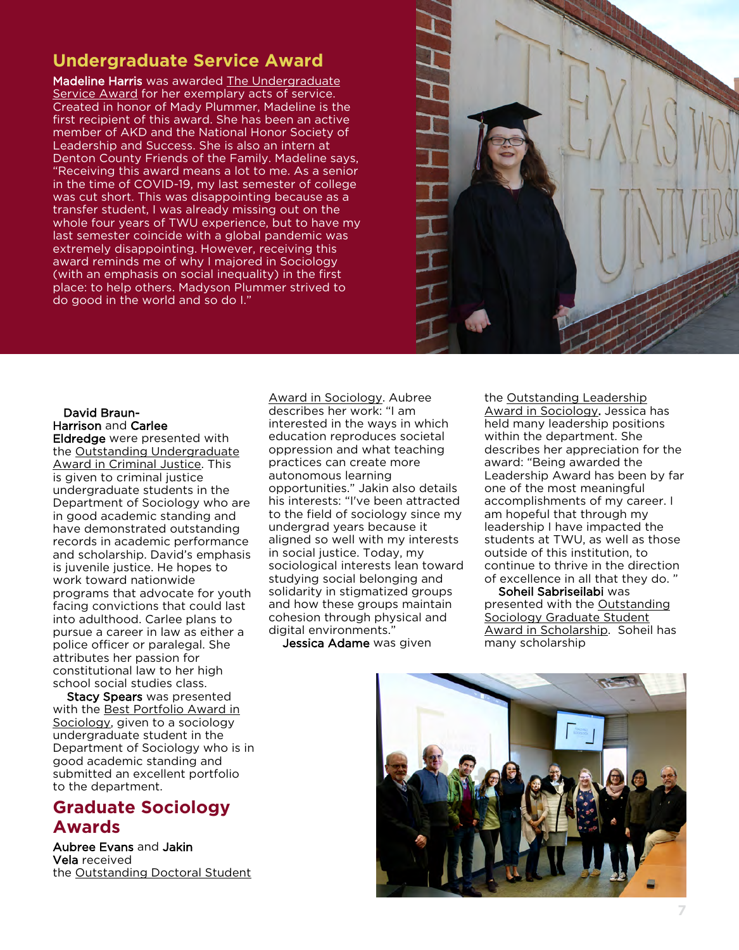## **Undergraduate Service Award**

Madeline Harris was awarded The Undergraduate Service Award for her exemplary acts of service. Created in honor of Mady Plummer, Madeline is the first recipient of this award. She has been an active member of AKD and the National Honor Society of Leadership and Success. She is also an intern at Denton County Friends of the Family. Madeline says, "Receiving this award means a lot to me. As a senior in the time of COVID-19, my last semester of college was cut short. This was disappointing because as a transfer student, I was already missing out on the whole four years of TWU experience, but to have my last semester coincide with a global pandemic was extremely disappointing. However, receiving this award reminds me of why I majored in Sociology (with an emphasis on social inequality) in the first place: to help others. Madyson Plummer strived to do good in the world and so do I."



#### David Braun-Harrison and Carlee

Eldredge were presented with the Outstanding Undergraduate Award in Criminal Justice. This is given to criminal justice undergraduate students in the Department of Sociology who are in good academic standing and have demonstrated outstanding records in academic performance and scholarship. David's emphasis is juvenile justice. He hopes to work toward nationwide programs that advocate for youth facing convictions that could last into adulthood. Carlee plans to pursue a career in law as either a police officer or paralegal. She attributes her passion for constitutional law to her high school social studies class.

 Stacy Spears was presented with the Best Portfolio Award in Sociology, given to a sociology undergraduate student in the Department of Sociology who is in good academic standing and submitted an excellent portfolio to the department.

# **Graduate Sociology Awards**

Aubree Evans and Jakin Vela received the Outstanding Doctoral Student Award in Sociology. Aubree describes her work: "I am interested in the ways in which education reproduces societal oppression and what teaching practices can create more autonomous learning opportunities." Jakin also details his interests: "I've been attracted to the field of sociology since my undergrad years because it aligned so well with my interests in social justice. Today, my sociological interests lean toward studying social belonging and solidarity in stigmatized groups and how these groups maintain cohesion through physical and digital environments."

Jessica Adame was given

the Outstanding Leadership Award in Sociology. Jessica has held many leadership positions within the department. She describes her appreciation for the award: "Being awarded the Leadership Award has been by far one of the most meaningful accomplishments of my career. I am hopeful that through my leadership I have impacted the students at TWU, as well as those outside of this institution, to continue to thrive in the direction of excellence in all that they do. "

 Soheil Sabriseilabi was presented with the Outstanding Sociology Graduate Student Award in Scholarship. Soheil has many scholarship

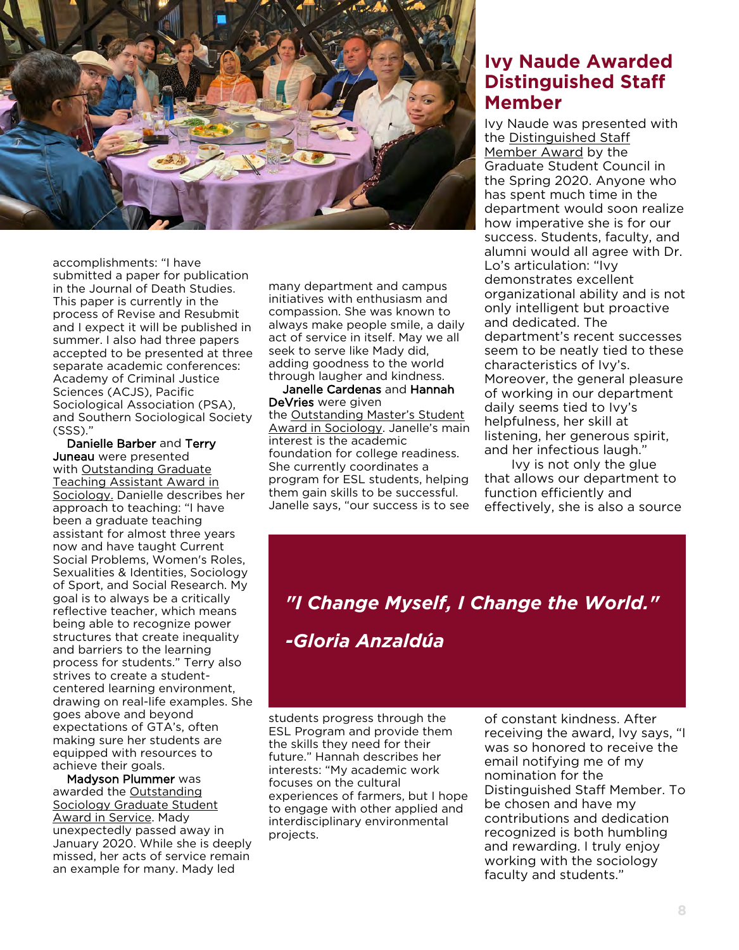

accomplishments: "I have submitted a paper for publication in the Journal of Death Studies. This paper is currently in the process of Revise and Resubmit and I expect it will be published in summer. I also had three papers accepted to be presented at three separate academic conferences: Academy of Criminal Justice Sciences (ACJS), Pacific Sociological Association (PSA), and Southern Sociological Society (SSS)."

 Danielle Barber and Terry Juneau were presented with Outstanding Graduate Teaching Assistant Award in Sociology. Danielle describes her approach to teaching: "I have been a graduate teaching assistant for almost three years now and have taught Current Social Problems, Women's Roles, Sexualities & Identities, Sociology of Sport, and Social Research. My goal is to always be a critically reflective teacher, which means being able to recognize power structures that create inequality and barriers to the learning process for students." Terry also strives to create a studentcentered learning environment, drawing on real-life examples. She goes above and beyond expectations of GTA's, often making sure her students are equipped with resources to achieve their goals.

 Madyson Plummer was awarded the Outstanding Sociology Graduate Student Award in Service. Mady unexpectedly passed away in January 2020. While she is deeply missed, her acts of service remain an example for many. Mady led

many department and campus initiatives with enthusiasm and compassion. She was known to always make people smile, a daily act of service in itself. May we all seek to serve like Mady did, adding goodness to the world through laugher and kindness.

 Janelle Cardenas and Hannah DeVries were given the Outstanding Master's Student Award in Sociology. Janelle's main interest is the academic foundation for college readiness. She currently coordinates a program for ESL students, helping them gain skills to be successful. Janelle says, "our success is to see

## **Ivy Naude Awarded Distinguished Staff Member**

Ivy Naude was presented with the Distinguished Staff Member Award by the Graduate Student Council in the Spring 2020. Anyone who has spent much time in the department would soon realize how imperative she is for our success. Students, faculty, and alumni would all agree with Dr. Lo's articulation: "Ivy demonstrates excellent organizational ability and is not only intelligent but proactive and dedicated. The department's recent successes seem to be neatly tied to these characteristics of Ivy's. Moreover, the general pleasure of working in our department daily seems tied to Ivy's helpfulness, her skill at listening, her generous spirit, and her infectious laugh."

 Ivy is not only the glue that allows our department to function efficiently and effectively, she is also a source

# *"I Change Myself, I Change the World." -Gloria Anzaldúa*

students progress through the ESL Program and provide them the skills they need for their future." Hannah describes her interests: "My academic work focuses on the cultural experiences of farmers, but I hope to engage with other applied and interdisciplinary environmental projects.

of constant kindness. After receiving the award, Ivy says, "I was so honored to receive the email notifying me of my nomination for the Distinguished Staff Member. To be chosen and have my contributions and dedication recognized is both humbling and rewarding. I truly enjoy working with the sociology faculty and students."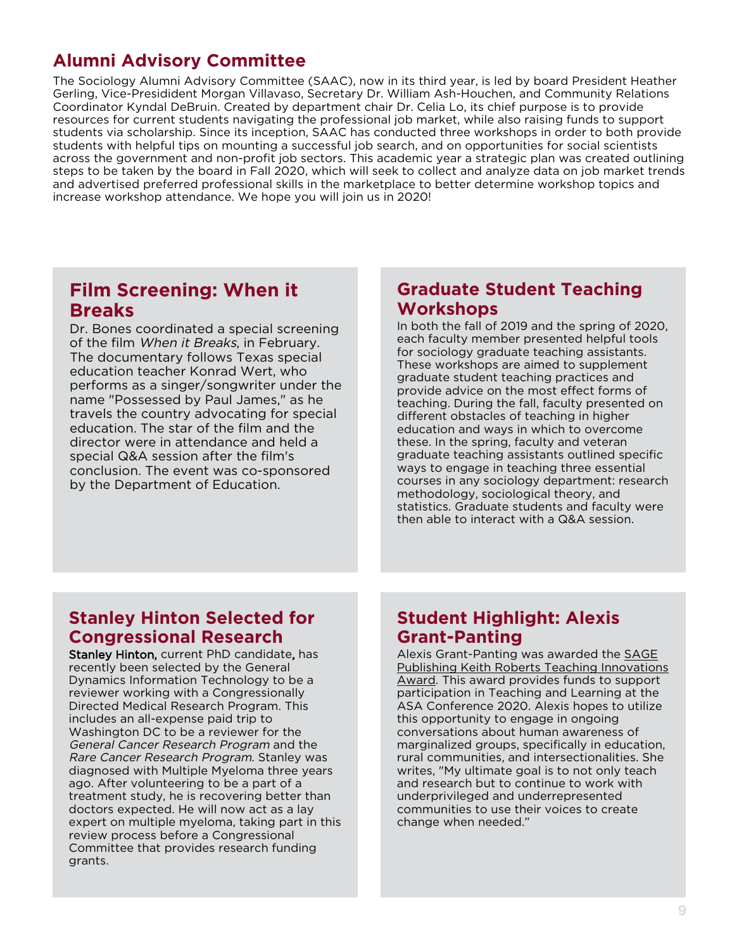## **Alumni Advisory Committee**

The Sociology Alumni Advisory Committee (SAAC), now in its third year, is led by board President Heather Gerling, Vice-Presidident Morgan Villavaso, Secretary Dr. William Ash-Houchen, and Community Relations Coordinator Kyndal DeBruin. Created by department chair Dr. Celia Lo, its chief purpose is to provide resources for current students navigating the professional job market, while also raising funds to support students via scholarship. Since its inception, SAAC has conducted three workshops in order to both provide students with helpful tips on mounting a successful job search, and on opportunities for social scientists across the government and non-profit job sectors. This academic year a strategic plan was created outlining steps to be taken by the board in Fall 2020, which will seek to collect and analyze data on job market trends and advertised preferred professional skills in the marketplace to better determine workshop topics and increase workshop attendance. We hope you will join us in 2020!

#### **Film Screening: When it Breaks**

Dr. Bones coordinated a special screening of the film When it Breaks, in February. The documentary follows Texas special education teacher Konrad Wert, who performs as a singer/songwriter under the name "Possessed by Paul James," as he travels the country advocating for special education. The star of the film and the director were in attendance and held a special Q&A session after the film's conclusion. The event was co-sponsored by the Department of Education.

#### **Graduate Student Teaching Workshops**

In both the fall of 2019 and the spring of 2020, each faculty member presented helpful tools for sociology graduate teaching assistants. These workshops are aimed to supplement graduate student teaching practices and provide advice on the most effect forms of teaching. During the fall, faculty presented on different obstacles of teaching in higher education and ways in which to overcome these. In the spring, faculty and veteran graduate teaching assistants outlined specific ways to engage in teaching three essential courses in any sociology department: research methodology, sociological theory, and statistics. Graduate students and faculty were then able to interact with a Q&A session.

## **Stanley Hinton Selected for Congressional Research**

Stanley Hinton, current PhD candidate, has recently been selected by the General Dynamics Information Technology to be a reviewer working with a Congressionally Directed Medical Research Program. This includes an all-expense paid trip to Washington DC to be a reviewer for the General Cancer Research Program and the Rare Cancer Research Program. Stanley was diagnosed with Multiple Myeloma three years ago. After volunteering to be a part of a treatment study, he is recovering better than doctors expected. He will now act as a lay expert on multiple myeloma, taking part in this review process before a Congressional Committee that provides research funding grants.

## **Student Highlight: Alexis Grant-Panting**

Alexis Grant-Panting was awarded the SAGE Publishing Keith Roberts Teaching Innovations Award. This award provides funds to support participation in Teaching and Learning at the ASA Conference 2020. Alexis hopes to utilize this opportunity to engage in ongoing conversations about human awareness of marginalized groups, specifically in education, rural communities, and intersectionalities. She writes, "My ultimate goal is to not only teach and research but to continue to work with underprivileged and underrepresented communities to use their voices to create change when needed."